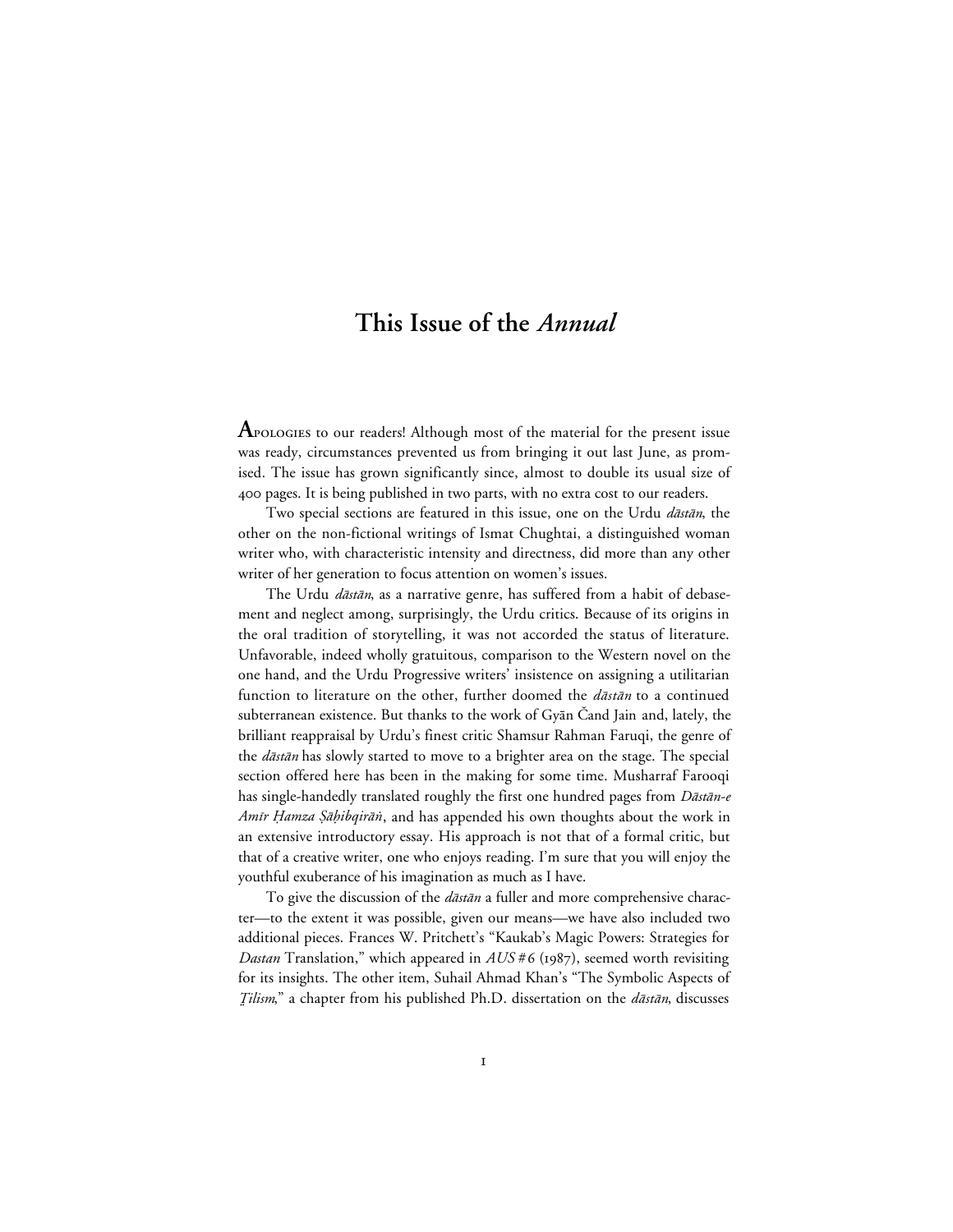## **This Issue of the** *Annual*

**A** pologies to our readers! Although most of the material for the present issue was ready, circumstances prevented us from bringing it out last June, as promised. The issue has grown significantly since, almost to double its usual size of 400 pages. It is being published in two parts, with no extra cost to our readers.

Two special sections are featured in this issue, one on the Urdu dastan, the other on the non-fictional writings of Ismat Chughtai, a distinguished woman writer who, with characteristic intensity and directness, did more than any other writer of her generation to focus attention on women's issues.

The Urdu *dāstān*, as a narrative genre, has suffered from a habit of debasement and neglect among, surprisingly, the Urdu critics. Because of its origins in the oral tradition of storytelling, it was not accorded the status of literature. Unfavorable, indeed wholly gratuitous, comparison to the Western novel on the one hand, and the Urdu Progressive writers' insistence on assigning a utilitarian function to literature on the other, further doomed the  $d\bar{a}$ st $\bar{a}n$  to a continued subterranean existence. But thanks to the work of Gyan Čand Jain and, lately, the brilliant reappraisal by Urdu's finest critic Shamsur Rahman Faruqi, the genre of the *dāstān* has slowly started to move to a brighter area on the stage. The special section offered here has been in the making for some time. Musharraf Farooqi has single-handedly translated roughly the first one hundred pages from Dāstān-e Amīr Hamza Şāḥibqirān, and has appended his own thoughts about the work in an extensive introductory essay. His approach is not that of a formal critic, but that of a creative writer, one who enjoys reading. I'm sure that you will enjoy the youthful exuberance of his imagination as much as I have.

To give the discussion of the *dāstān* a fuller and more comprehensive character—to the extent it was possible, given our means—we have also included two additional pieces. Frances W. Pritchett's "Kaukab's Magic Powers: Strategies for *Dastan* Translation," which appeared in  $AUS # 6$  (1987), seemed worth revisiting for its insights. The other item, Suhail Ahmad Khan's "The Symbolic Aspects of Tilism," a chapter from his published Ph.D. dissertation on the dastan, discusses